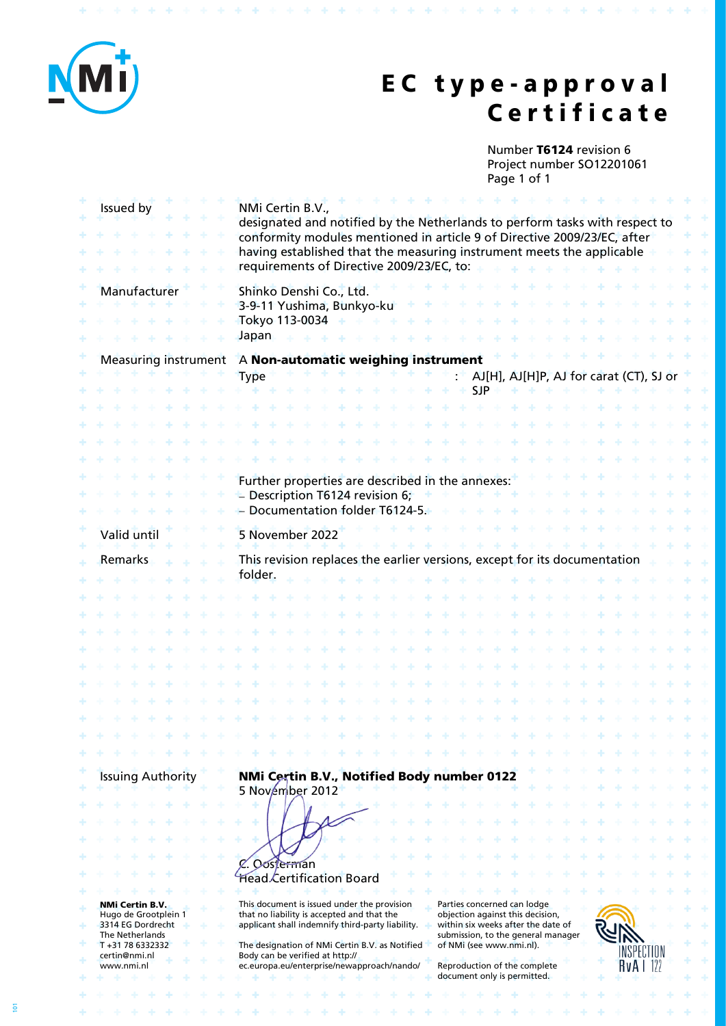

\* \* \* \* \* \* \* \* \* \* \* \* \* \* \* \* \* \* \* \*

# **E C t y p e - a p p r o v a l C e r t i f i c a t e**

Number **T6124** revision 6 Project number SO12201061 Page 1 of 1

**\*\*\*\*\*\*\*\*\*\*\*\*\*\*\*\*\*** 

|   | Issued by                                 | NMi Certin B.V.,<br>designated and notified by the Netherlands to perform tasks with respect to<br>conformity modules mentioned in article 9 of Directive 2009/23/EC, after<br>having established that the measuring instrument meets the applicable<br>requirements of Directive 2009/23/EC, to: |                                                                           |  |
|---|-------------------------------------------|---------------------------------------------------------------------------------------------------------------------------------------------------------------------------------------------------------------------------------------------------------------------------------------------------|---------------------------------------------------------------------------|--|
|   | Manufacturer                              | Shinko Denshi Co., Ltd.<br>3-9-11 Yushima, Bunkyo-ku<br>Tokyo 113-0034<br>Japan                                                                                                                                                                                                                   |                                                                           |  |
|   | <b>Measuring instrument</b>               | A Non-automatic weighing instrument                                                                                                                                                                                                                                                               |                                                                           |  |
|   |                                           | <b>Type</b>                                                                                                                                                                                                                                                                                       | AJ[H], AJ[H]P, AJ for carat (CT), SJ or                                   |  |
|   |                                           |                                                                                                                                                                                                                                                                                                   | <b>SJP</b>                                                                |  |
|   |                                           |                                                                                                                                                                                                                                                                                                   |                                                                           |  |
|   |                                           |                                                                                                                                                                                                                                                                                                   |                                                                           |  |
|   |                                           |                                                                                                                                                                                                                                                                                                   |                                                                           |  |
|   |                                           |                                                                                                                                                                                                                                                                                                   |                                                                           |  |
|   |                                           |                                                                                                                                                                                                                                                                                                   |                                                                           |  |
|   |                                           | Further properties are described in the annexes:<br>- Description T6124 revision 6;                                                                                                                                                                                                               |                                                                           |  |
|   |                                           | Documentation folder T6124-5.                                                                                                                                                                                                                                                                     |                                                                           |  |
|   |                                           |                                                                                                                                                                                                                                                                                                   |                                                                           |  |
|   | Valid until                               | 5 November 2022                                                                                                                                                                                                                                                                                   |                                                                           |  |
|   | Remarks                                   |                                                                                                                                                                                                                                                                                                   | This revision replaces the earlier versions, except for its documentation |  |
|   |                                           | folder.                                                                                                                                                                                                                                                                                           |                                                                           |  |
|   |                                           |                                                                                                                                                                                                                                                                                                   |                                                                           |  |
|   |                                           |                                                                                                                                                                                                                                                                                                   |                                                                           |  |
|   |                                           |                                                                                                                                                                                                                                                                                                   |                                                                           |  |
|   |                                           |                                                                                                                                                                                                                                                                                                   |                                                                           |  |
|   |                                           |                                                                                                                                                                                                                                                                                                   |                                                                           |  |
|   |                                           |                                                                                                                                                                                                                                                                                                   |                                                                           |  |
|   |                                           |                                                                                                                                                                                                                                                                                                   |                                                                           |  |
|   |                                           |                                                                                                                                                                                                                                                                                                   |                                                                           |  |
|   |                                           |                                                                                                                                                                                                                                                                                                   |                                                                           |  |
|   |                                           |                                                                                                                                                                                                                                                                                                   |                                                                           |  |
|   |                                           |                                                                                                                                                                                                                                                                                                   |                                                                           |  |
|   | <b>Issuing Authority</b>                  | NMi Certin B.V., Notified Body number 0122                                                                                                                                                                                                                                                        |                                                                           |  |
|   |                                           | 5 November 2012                                                                                                                                                                                                                                                                                   |                                                                           |  |
|   |                                           |                                                                                                                                                                                                                                                                                                   |                                                                           |  |
|   |                                           |                                                                                                                                                                                                                                                                                                   |                                                                           |  |
|   |                                           |                                                                                                                                                                                                                                                                                                   |                                                                           |  |
|   |                                           | Oosterman                                                                                                                                                                                                                                                                                         |                                                                           |  |
|   |                                           | Head Certification Board                                                                                                                                                                                                                                                                          |                                                                           |  |
|   | <b>NMi Certin B.V.</b>                    | This document is issued under the provision                                                                                                                                                                                                                                                       | Parties concerned can lodge                                               |  |
| ÷ | Hugo de Grootplein 1<br>3314 EG Dordrecht | that no liability is accepted and that the<br>applicant shall indemnify third-party liability.                                                                                                                                                                                                    | objection against this decision,<br>within six weeks after the date of    |  |
|   | The Netherlands                           |                                                                                                                                                                                                                                                                                                   | submission, to the general manager                                        |  |
|   | T+31786332332<br>certin@nmi.nl            | The designation of NMi Certin B.V. as Notified<br>Body can be verified at http://                                                                                                                                                                                                                 | of NMi (see www.nmi.nl).                                                  |  |
|   | www.nmi.nl                                | ec.europa.eu/enterprise/newapproach/nando/                                                                                                                                                                                                                                                        | Reproduction of the complete<br>document only is permitted.               |  |
|   |                                           |                                                                                                                                                                                                                                                                                                   |                                                                           |  |

**A 4 4 4 5 4 4 5 6 7** 

**PERMIT REPORT FOR A 24 YEAR OLD A 24 YEAR OLD A 24 YEAR OLD A 24 YEAR OLD A 24 YEAR OLD A 24 YEAR OLD A 24 YEAR OLD A 24 YEAR OLD A 24 YEAR OLD A 24 YEAR OLD A 24 YEAR OLD A 24 YEAR OLD A 24 YEAR OLD A 24 YEAR OLD A 24 YE** 

÷ -4

\* \* \* \* \* \* \* \* \* \* \* \* \* \* \* \* \* \*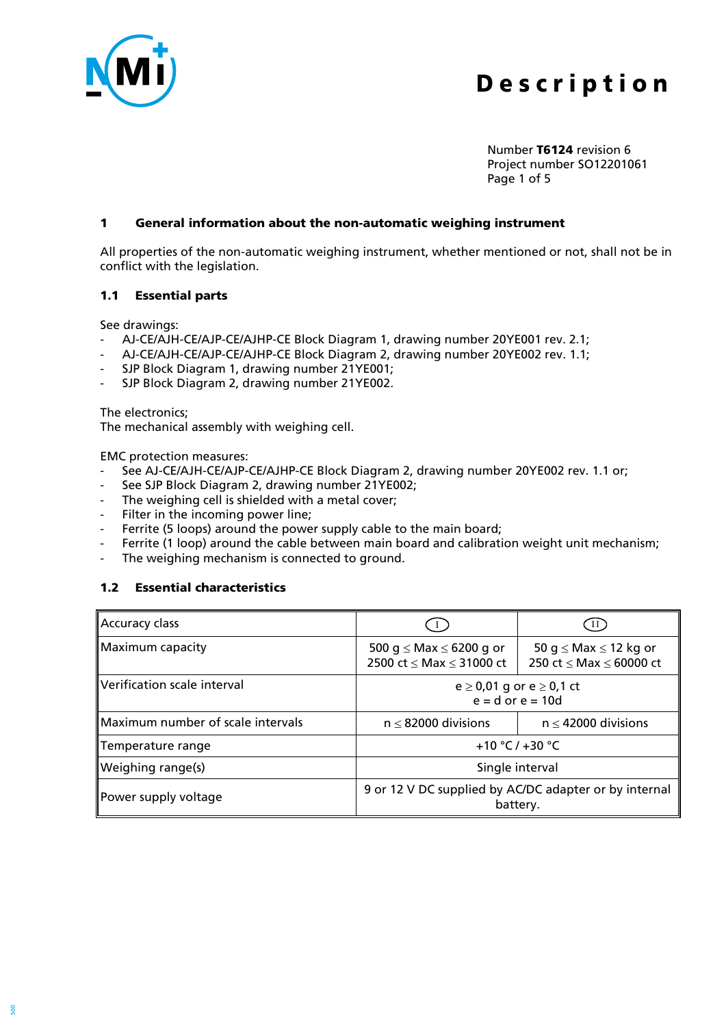

Number **T6124** revision 6 Project number SO12201061 Page 1 of 5

#### **1 General information about the non-automatic weighing instrument**

All properties of the non-automatic weighing instrument, whether mentioned or not, shall not be in conflict with the legislation.

#### **1.1 Essential parts**

See drawings:

- AJ-CE/AJH-CE/AJP-CE/AJHP-CE Block Diagram 1, drawing number 20YE001 rev. 2.1;
- AJ-CE/AJH-CE/AJP-CE/AJHP-CE Block Diagram 2, drawing number 20YE002 rev. 1.1;
- SJP Block Diagram 1, drawing number 21YE001;
- SJP Block Diagram 2, drawing number 21YE002.

The electronics;

The mechanical assembly with weighing cell.

EMC protection measures:

- See AJ-CE/AJH-CE/AJP-CE/AJHP-CE Block Diagram 2, drawing number 20YE002 rev. 1.1 or;
- See SJP Block Diagram 2, drawing number 21YE002;
- The weighing cell is shielded with a metal cover;
- Filter in the incoming power line;
- Ferrite (5 loops) around the power supply cable to the main board;
- Ferrite (1 loop) around the cable between main board and calibration weight unit mechanism;
- The weighing mechanism is connected to ground.

## **1.2 Essential characteristics**

| Accuracy class                                                                            |                                                                         |                                                            |
|-------------------------------------------------------------------------------------------|-------------------------------------------------------------------------|------------------------------------------------------------|
| Maximum capacity                                                                          | 500 g $\leq$ Max $\leq$ 6200 g or<br>2500 ct $\leq$ Max $\leq$ 31000 ct | 50 g $\leq$ Max $\leq$ 12 kg or<br>250 ct < Max < 60000 ct |
| Verification scale interval<br>$e \ge 0.01$ g or $e \ge 0.1$ ct<br>$e = d$ or $e = 10d$   |                                                                         |                                                            |
| Maximum number of scale intervals                                                         | $n \leq 82000$ divisions                                                | $n \leq 42000$ divisions                                   |
| Temperature range                                                                         | +10 °C / +30 °C                                                         |                                                            |
| Weighing range(s)                                                                         | Single interval                                                         |                                                            |
| 9 or 12 V DC supplied by AC/DC adapter or by internal<br>Power supply voltage<br>battery. |                                                                         |                                                            |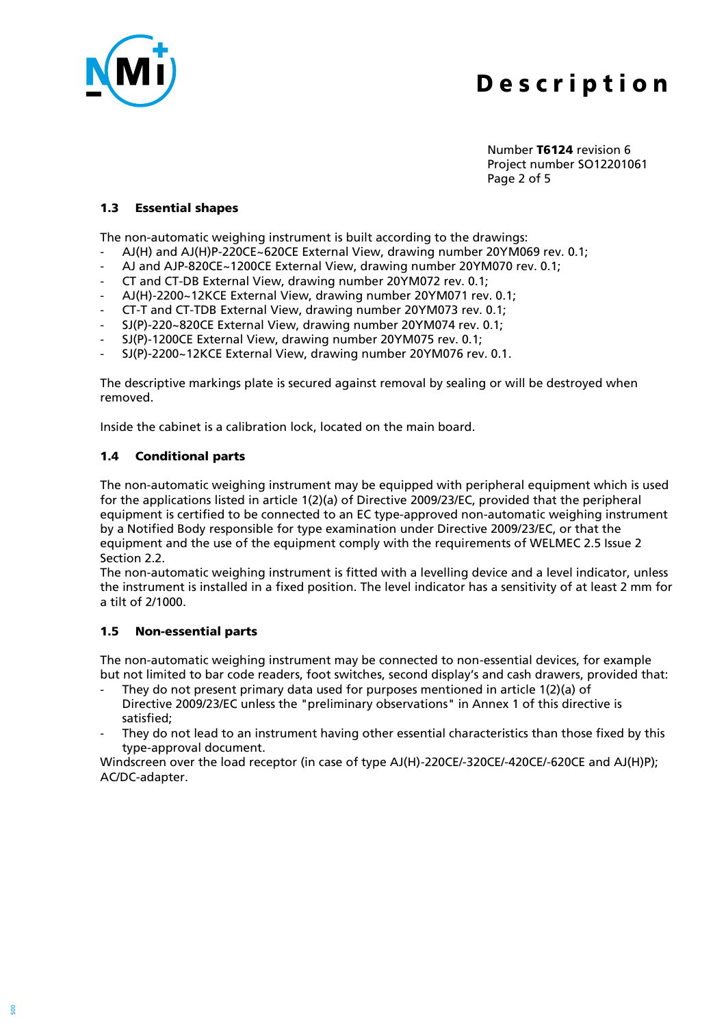

Number **T6124** revision 6 Project number SO12201061 Page 2 of 5

#### **1.3 Essential shapes**

The non-automatic weighing instrument is built according to the drawings:

- AJ(H) and AJ(H)P-220CE~620CE External View, drawing number 20YM069 rev. 0.1;
- AJ and AJP-820CE~1200CE External View, drawing number 20YM070 rev. 0.1;
- CT and CT-DB External View, drawing number 20YM072 rev. 0.1;
- AJ(H)-2200~12KCE External View, drawing number 20YM071 rev. 0.1;
- CT-T and CT-TDB External View, drawing number 20YM073 rev. 0.1;
- SJ(P)-220~820CE External View, drawing number 20YM074 rev. 0.1;
- SJ(P)-1200CE External View, drawing number 20YM075 rev. 0.1;
- SJ(P)-2200~12KCE External View, drawing number 20YM076 rev. 0.1.

The descriptive markings plate is secured against removal by sealing or will be destroyed when removed.

Inside the cabinet is a calibration lock, located on the main board.

## **1.4 Conditional parts**

The non-automatic weighing instrument may be equipped with peripheral equipment which is used for the applications listed in article 1(2)(a) of Directive 2009/23/EC, provided that the peripheral equipment is certified to be connected to an EC type-approved non-automatic weighing instrument by a Notified Body responsible for type examination under Directive 2009/23/EC, or that the equipment and the use of the equipment comply with the requirements of WELMEC 2.5 Issue 2 Section 2.2.

The non-automatic weighing instrument is fitted with a levelling device and a level indicator, unless the instrument is installed in a fixed position. The level indicator has a sensitivity of at least 2 mm for a tilt of 2/1000.

## **1.5 Non-essential parts**

The non-automatic weighing instrument may be connected to non-essential devices, for example but not limited to bar code readers, foot switches, second display's and cash drawers, provided that:

- They do not present primary data used for purposes mentioned in article  $1(2)(a)$  of Directive 2009/23/EC unless the "preliminary observations" in Annex 1 of this directive is satisfied;
- They do not lead to an instrument having other essential characteristics than those fixed by this type-approval document.

Windscreen over the load receptor (in case of type AJ(H)-220CE/-320CE/-420CE/-620CE and AJ(H)P); AC/DC-adapter.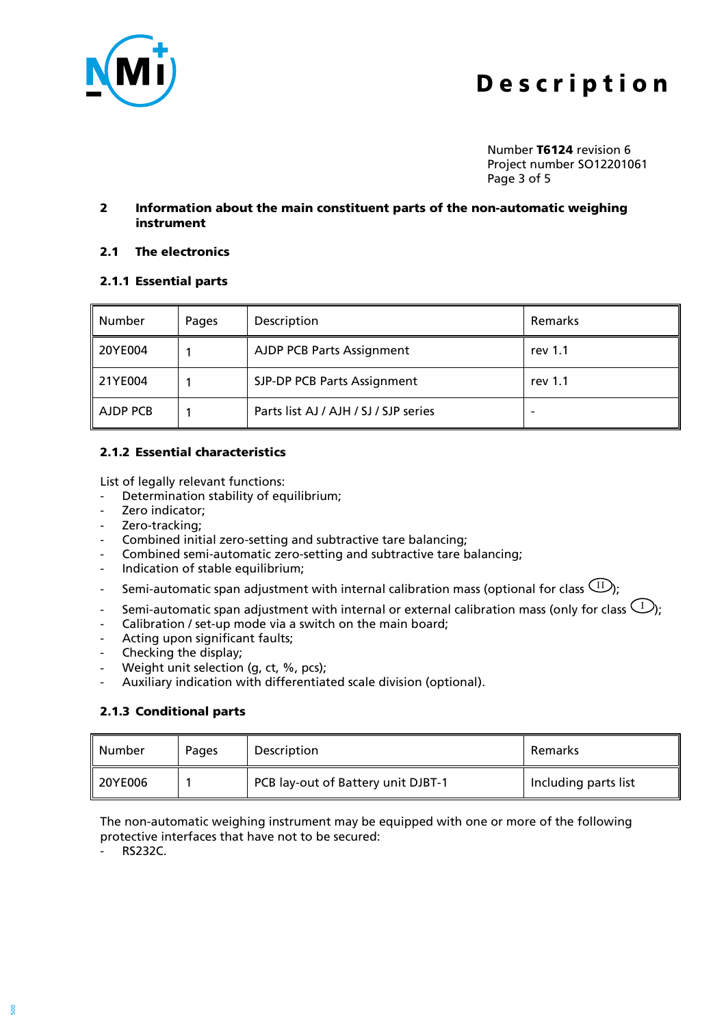

Number **T6124** revision 6 Project number SO12201061 Page 3 of 5

#### **2 Information about the main constituent parts of the non-automatic weighing instrument**

#### **2.1 The electronics**

#### **2.1.1 Essential parts**

| Number               | Pages | Description                           | Remarks |
|----------------------|-------|---------------------------------------|---------|
| 20YE004              |       | <b>AJDP PCB Parts Assignment</b>      | rev 1.1 |
| 21YE004              |       | SJP-DP PCB Parts Assignment           | rev 1.1 |
| $\parallel$ AJDP PCB |       | Parts list AJ / AJH / SJ / SJP series |         |

#### **2.1.2 Essential characteristics**

List of legally relevant functions:

- Determination stability of equilibrium;
- Zero indicator:
- Zero-tracking;
- Combined initial zero-setting and subtractive tare balancing;
- Combined semi-automatic zero-setting and subtractive tare balancing;
- Indication of stable equilibrium;
- Semi-automatic span adjustment with internal calibration mass (optional for class  $\text{(\text{II})};$
- Semi-automatic span adjustment with internal or external calibration mass (only for class  $\mathsf{\left( L\right) }$  ;
- Calibration / set-up mode via a switch on the main board;
- Acting upon significant faults;
- Checking the display;
- Weight unit selection (g, ct, %, pcs);
- Auxiliary indication with differentiated scale division (optional).

## **2.1.3 Conditional parts**

| Number  | Pages | Description                        | Remarks              |
|---------|-------|------------------------------------|----------------------|
| 20YE006 |       | PCB lay-out of Battery unit DJBT-1 | Including parts list |

The non-automatic weighing instrument may be equipped with one or more of the following protective interfaces that have not to be secured:

- RS232C.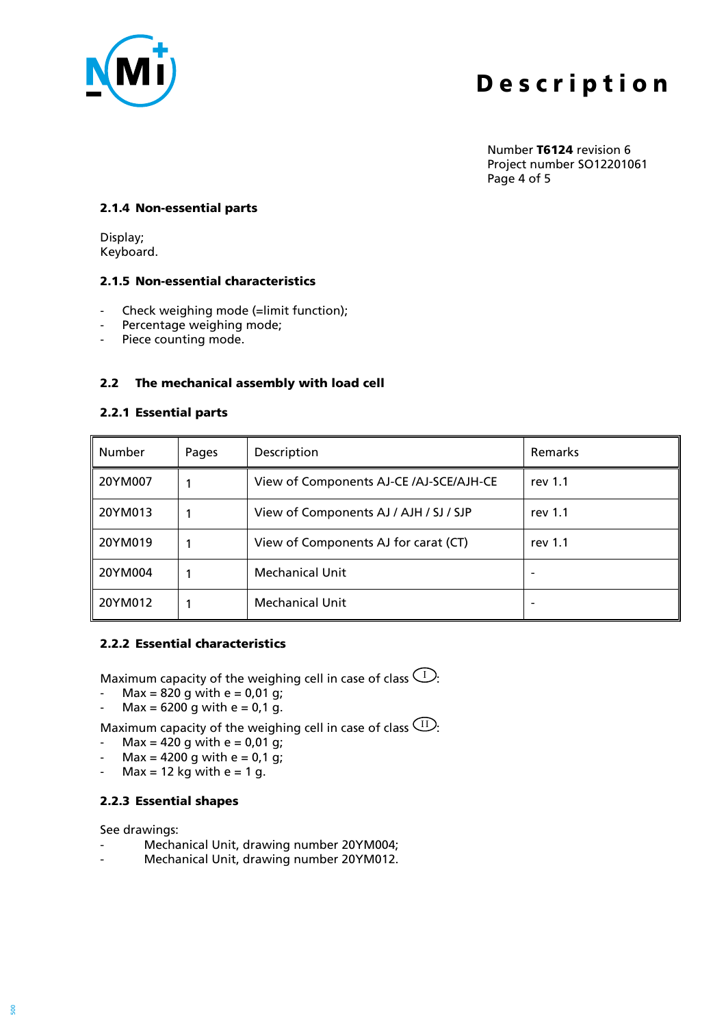

Number **T6124** revision 6 Project number SO12201061 Page 4 of 5

#### **2.1.4 Non-essential parts**

Display; Keyboard.

#### **2.1.5 Non-essential characteristics**

- Check weighing mode (=limit function);
- Percentage weighing mode;
- Piece counting mode.

## **2.2 The mechanical assembly with load cell**

#### **2.2.1 Essential parts**

| Number  | Pages | Description                             | Remarks |
|---------|-------|-----------------------------------------|---------|
| 20YM007 |       | View of Components AJ-CE /AJ-SCE/AJH-CE | rev 1.1 |
| 20YM013 |       | View of Components AJ / AJH / SJ / SJP  | rev 1.1 |
| 20YM019 |       | View of Components AJ for carat (CT)    | rev 1.1 |
| 20YM004 |       | <b>Mechanical Unit</b>                  |         |
| 20YM012 |       | <b>Mechanical Unit</b>                  |         |

#### **2.2.2 Essential characteristics**

Maximum capacity of the weighing cell in case of class  $\mathbb{U}$ :

- Max =  $820$  g with e =  $0.01$  g;
- $Max = 6200$  g with e = 0,1 g.

Maximum capacity of the weighing cell in case of class  $\frac{(\text{II})}{\cdot}$ :

- $Max = 420$  g with e = 0,01 g;
- Max =  $4200$  g with e =  $0,1$  g;
- Max = 12 kg with  $e = 1$  g.

## **2.2.3 Essential shapes**

See drawings:

- Mechanical Unit, drawing number 20YM004;
- Mechanical Unit, drawing number 20YM012.